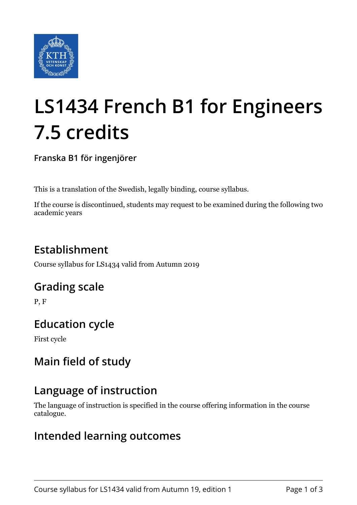

# **LS1434 French B1 for Engineers 7.5 credits**

**Franska B1 för ingenjörer**

This is a translation of the Swedish, legally binding, course syllabus.

If the course is discontinued, students may request to be examined during the following two academic years

# **Establishment**

Course syllabus for LS1434 valid from Autumn 2019

## **Grading scale**

P, F

## **Education cycle**

First cycle

# **Main field of study**

## **Language of instruction**

The language of instruction is specified in the course offering information in the course catalogue.

## **Intended learning outcomes**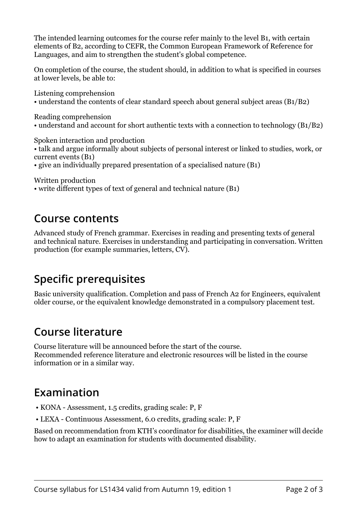The intended learning outcomes for the course refer mainly to the level B1, with certain elements of B2, according to CEFR, the Common European Framework of Reference for Languages, and aim to strengthen the student's global competence.

On completion of the course, the student should, in addition to what is specified in courses at lower levels, be able to:

Listening comprehension • understand the contents of clear standard speech about general subject areas (B1/B2)

Reading comprehension

• understand and account for short authentic texts with a connection to technology (B1/B2)

Spoken interaction and production

- talk and argue informally about subjects of personal interest or linked to studies, work, or current events (B1)
- give an individually prepared presentation of a specialised nature (B1)

Written production

• write different types of text of general and technical nature (B1)

#### **Course contents**

Advanced study of French grammar. Exercises in reading and presenting texts of general and technical nature. Exercises in understanding and participating in conversation. Written production (for example summaries, letters, CV).

# **Specific prerequisites**

Basic university qualification. Completion and pass of French A2 for Engineers, equivalent older course, or the equivalent knowledge demonstrated in a compulsory placement test.

## **Course literature**

Course literature will be announced before the start of the course. Recommended reference literature and electronic resources will be listed in the course information or in a similar way.

## **Examination**

- KONA Assessment, 1.5 credits, grading scale: P, F
- LEXA Continuous Assessment, 6.0 credits, grading scale: P, F

Based on recommendation from KTH's coordinator for disabilities, the examiner will decide how to adapt an examination for students with documented disability.